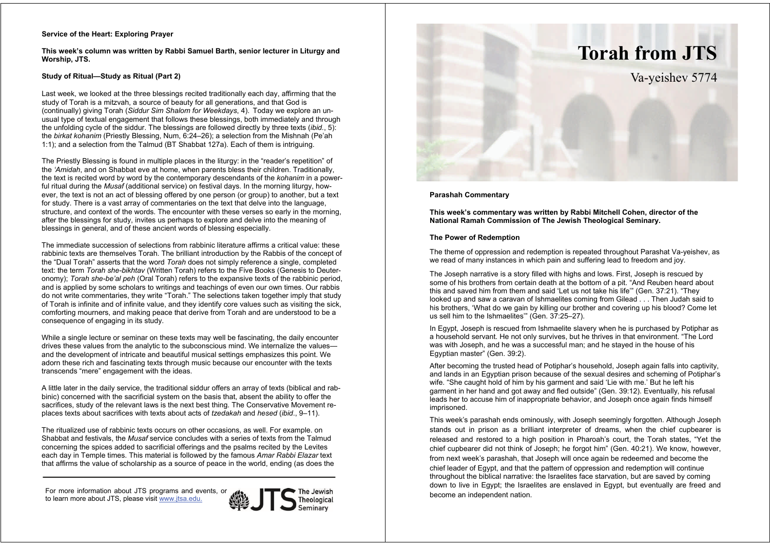## **Service of the Heart: Exploring Prayer**

**This week's column was written by Rabbi Samuel Barth, senior lecturer in Liturgy and Worship, JTS.** 

# **Study of Ritual—Study as Ritual (Part 2)**

Last week, we looked at the three blessings recited traditionally each day, affirming that the study of Torah is a mitzvah, a source of beauty for all generations, and that God is (continually) giving Torah (*Siddur Sim Shalom for Weekdays*, 4). Today we explore an unusual type of textual engagement that follows these blessings, both immediately and through the unfolding cycle of the siddur. The blessings are followed directly by three texts (*ibid.*, 5): the *birkat kohanim* (Priestly Blessing, Num, 6:24–26); a selection from the Mishnah (Pe'ah 1:1); and a selection from the Talmud (BT Shabbat 127a). Each of them is intriguing.

The Priestly Blessing is found in multiple places in the liturgy: in the "reader's repetition" of the *'Amidah*, and on Shabbat eve at home, when parents bless their children. Traditionally, the text is recited word by word by the contemporary descendants of the *kohanim* in a powerful ritual during the *Musaf* (additional service) on festival days. In the morning liturgy, however, the text is not an act of blessing offered by one person (or group) to another, but a text for study. There is a vast array of commentaries on the text that delve into the language, structure, and context of the words. The encounter with these verses so early in the morning, after the blessings for study, invites us perhaps to explore and delve into the meaning of blessings in general, and of these ancient words of blessing especially.

The immediate succession of selections from rabbinic literature affirms a critical value: these rabbinic texts are themselves Torah. The brilliant introduction by the Rabbis of the concept of the "Dual Torah" asserts that the word *Torah* does not simply reference a single, completed text: the term *Torah she-bikhtav* (Written Torah) refers to the Five Books (Genesis to Deuteronomy); *Torah she-be'al peh* (Oral Torah) refers to the expansive texts of the rabbinic period, and is applied by some scholars to writings and teachings of even our own times. Our rabbis do not write commentaries, they write "Torah." The selections taken together imply that study of Torah is infinite and of infinite value, and they identify core values such as visiting the sick, comforting mourners, and making peace that derive from Torah and are understood to be a consequence of engaging in its study.

While a single lecture or seminar on these texts may well be fascinating, the daily encounter drives these values from the analytic to the subconscious mind. We internalize the values and the development of intricate and beautiful musical settings emphasizes this point. We adorn these rich and fascinating texts through music because our encounter with the texts transcends "mere" engagement with the ideas.

A little later in the daily service, the traditional siddur offers an array of texts (biblical and rabbinic) concerned with the sacrificial system on the basis that, absent the ability to offer the sacrifices, study of the relevant laws is the next best thing. The Conservative Movement replaces texts about sacrifices with texts about acts of *tzedakah* and *hesed* (*ibid*., 9–11).

The ritualized use of rabbinic texts occurs on other occasions, as well. For example. on Shabbat and festivals, the *Musaf* service concludes with a series of texts from the Talmud concerning the spices added to sacrificial offerings and the psalms recited by the Levites each day in Temple times. This material is followed by the famous *Amar Rabbi Elazar* text that affirms the value of scholarship as a source of peace in the world, ending (as does the

For more information about JTS programs and events, or to learn more about JTS, please visit www.jtsa.edu.





## **Parashah Commentary**

**This week's commentary was written by Rabbi Mitchell Cohen, director of the National Ramah Commission of The Jewish Theological Seminary.**

#### **The Power of Redemption**

The theme of oppression and redemption is repeated throughout Parashat Va-yeishev, as we read of many instances in which pain and suffering lead to freedom and joy.

The Joseph narrative is a story filled with highs and lows. First, Joseph is rescued by some of his brothers from certain death at the bottom of a pit. "And Reuben heard about this and saved him from them and said 'Let us not take his life'" (Gen. 37:21). "They looked up and saw a caravan of Ishmaelites coming from Gilead . . . Then Judah said to his brothers, 'What do we gain by killing our brother and covering up his blood? Come let us sell him to the Ishmaelites'" (Gen. 37:25–27).

In Egypt, Joseph is rescued from Ishmaelite slavery when he is purchased by Potiphar as a household servant. He not only survives, but he thrives in that environment. "The Lord was with Joseph, and he was a successful man; and he stayed in the house of his Egyptian master" (Gen. 39:2).

After becoming the trusted head of Potiphar's household, Joseph again falls into captivity, and lands in an Egyptian prison because of the sexual desires and scheming of Potiphar's wife. "She caught hold of him by his garment and said 'Lie with me.' But he left his garment in her hand and got away and fled outside" (Gen. 39:12). Eventually, his refusal leads her to accuse him of inappropriate behavior, and Joseph once again finds himself imprisoned.

This week's parashah ends ominously, with Joseph seemingly forgotten. Although Joseph stands out in prison as a brilliant interpreter of dreams, when the chief cupbearer is released and restored to a high position in Pharoah's court, the Torah states, "Yet the chief cupbearer did not think of Joseph; he forgot him" (Gen. 40:21). We know, however, from next week's parashah, that Joseph will once again be redeemed and become the chief leader of Egypt, and that the pattern of oppression and redemption will continue throughout the biblical narrative: the Israelites face starvation, but are saved by coming down to live in Egypt; the Israelites are enslaved in Egypt, but eventually are freed and become an independent nation.